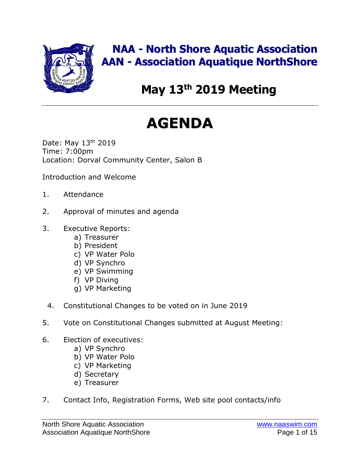

# **NAA - North Shore Aquatic Association AAN - Association Aquatique NorthShore**

# **May 13 th 2019 Meeting**

# **AGENDA**

Date: May 13<sup>th</sup> 2019 Time: 7:00pm Location: Dorval Community Center, Salon B

Introduction and Welcome

- 1. Attendance
- 2. Approval of minutes and agenda
- 3. Executive Reports:
	- a) Treasurer
	- b) President
	- c) VP Water Polo
	- d) VP Synchro
	- e) VP Swimming
	- f) VP Diving
	- g) VP Marketing
	- 4. Constitutional Changes to be voted on in June 2019
- 5. Vote on Constitutional Changes submitted at August Meeting:
- 6. Election of executives:
	- a) VP Synchro
	- b) VP Water Polo
	- c) VP Marketing
	- d) Secretary
	- e) Treasurer
- 7. Contact Info, Registration Forms, Web site pool contacts/info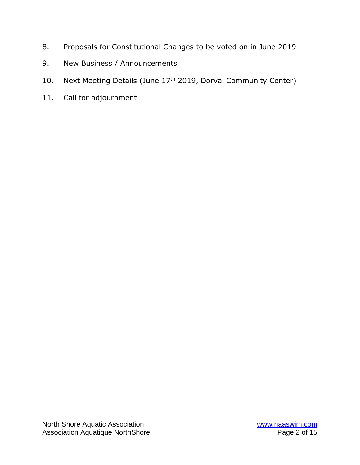- 8. Proposals for Constitutional Changes to be voted on in June 2019
- 9. New Business / Announcements
- 10. Next Meeting Details (June 17<sup>th</sup> 2019, Dorval Community Center)
- 11. Call for adjournment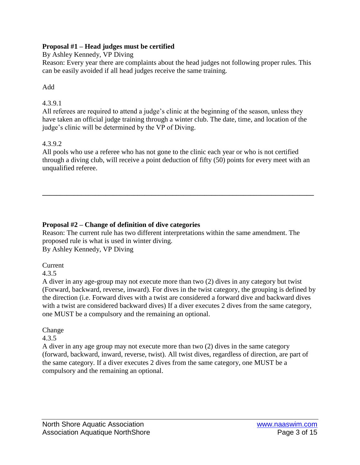#### **Proposal #1 – Head judges must be certified**

By Ashley Kennedy, VP Diving

Reason: Every year there are complaints about the head judges not following proper rules. This can be easily avoided if all head judges receive the same training.

Add

# 4.3.9.1

All referees are required to attend a judge's clinic at the beginning of the season, unless they have taken an official judge training through a winter club. The date, time, and location of the judge's clinic will be determined by the VP of Diving.

# 4.3.9.2

All pools who use a referee who has not gone to the clinic each year or who is not certified through a diving club, will receive a point deduction of fifty (50) points for every meet with an unqualified referee.

**\_\_\_\_\_\_\_\_\_\_\_\_\_\_\_\_\_\_\_\_\_\_\_\_\_\_\_\_\_\_\_\_\_\_\_\_\_\_\_\_\_\_\_\_\_\_\_\_\_\_\_\_\_\_\_\_\_\_\_\_\_\_\_\_\_\_\_\_\_\_\_\_\_\_\_\_\_**

# **Proposal #2 – Change of definition of dive categories**

Reason: The current rule has two different interpretations within the same amendment. The proposed rule is what is used in winter diving. By Ashley Kennedy, VP Diving

Current

4.3.5

A diver in any age-group may not execute more than two (2) dives in any category but twist (Forward, backward, reverse, inward). For dives in the twist category, the grouping is defined by the direction (i.e. Forward dives with a twist are considered a forward dive and backward dives with a twist are considered backward dives) If a diver executes 2 dives from the same category, one MUST be a compulsory and the remaining an optional.

# **Change**

# 4.3.5

A diver in any age group may not execute more than two (2) dives in the same category (forward, backward, inward, reverse, twist). All twist dives, regardless of direction, are part of the same category. If a diver executes 2 dives from the same category, one MUST be a compulsory and the remaining an optional.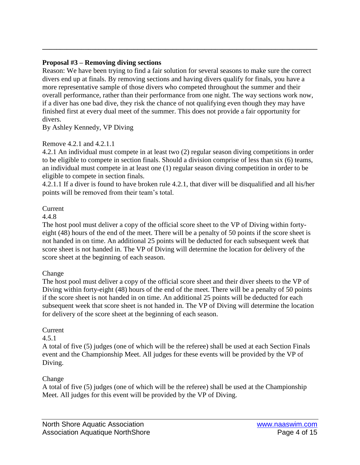#### **Proposal #3 – Removing diving sections**

Reason: We have been trying to find a fair solution for several seasons to make sure the correct divers end up at finals. By removing sections and having divers qualify for finals, you have a more representative sample of those divers who competed throughout the summer and their overall performance, rather than their performance from one night. The way sections work now, if a diver has one bad dive, they risk the chance of not qualifying even though they may have finished first at every dual meet of the summer. This does not provide a fair opportunity for divers.

**\_\_\_\_\_\_\_\_\_\_\_\_\_\_\_\_\_\_\_\_\_\_\_\_\_\_\_\_\_\_\_\_\_\_\_\_\_\_\_\_\_\_\_\_\_\_\_\_\_\_\_\_\_\_\_\_\_\_\_\_\_\_\_\_\_\_\_\_\_\_\_\_\_\_\_\_\_\_**

By Ashley Kennedy, VP Diving

#### Remove 4.2.1 and 4.2.1.1

4.2.1 An individual must compete in at least two (2) regular season diving competitions in order to be eligible to compete in section finals. Should a division comprise of less than six (6) teams, an individual must compete in at least one (1) regular season diving competition in order to be eligible to compete in section finals.

4.2.1.1 If a diver is found to have broken rule 4.2.1, that diver will be disqualified and all his/her points will be removed from their team's total.

#### Current

4.4.8

The host pool must deliver a copy of the official score sheet to the VP of Diving within fortyeight (48) hours of the end of the meet. There will be a penalty of 50 points if the score sheet is not handed in on time. An additional 25 points will be deducted for each subsequent week that score sheet is not handed in. The VP of Diving will determine the location for delivery of the score sheet at the beginning of each season.

#### Change

The host pool must deliver a copy of the official score sheet and their diver sheets to the VP of Diving within forty-eight (48) hours of the end of the meet. There will be a penalty of 50 points if the score sheet is not handed in on time. An additional 25 points will be deducted for each subsequent week that score sheet is not handed in. The VP of Diving will determine the location for delivery of the score sheet at the beginning of each season.

#### Current

#### 4.5.1

A total of five (5) judges (one of which will be the referee) shall be used at each Section Finals event and the Championship Meet. All judges for these events will be provided by the VP of Diving.

#### Change

A total of five (5) judges (one of which will be the referee) shall be used at the Championship Meet. All judges for this event will be provided by the VP of Diving.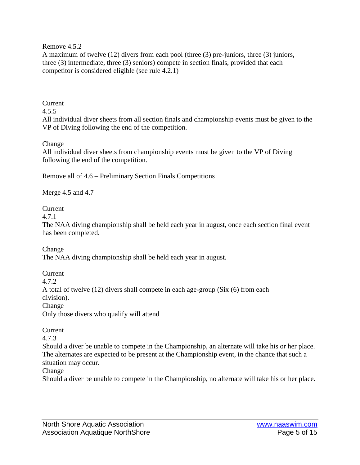#### Remove 4.5.2

A maximum of twelve (12) divers from each pool (three (3) pre-juniors, three (3) juniors, three (3) intermediate, three (3) seniors) compete in section finals, provided that each competitor is considered eligible (see rule 4.2.1)

#### Current

## 4.5.5

All individual diver sheets from all section finals and championship events must be given to the VP of Diving following the end of the competition.

#### Change

All individual diver sheets from championship events must be given to the VP of Diving following the end of the competition.

Remove all of 4.6 – Preliminary Section Finals Competitions

Merge 4.5 and 4.7

#### Current

4.7.1

The NAA diving championship shall be held each year in august, once each section final event has been completed.

Change The NAA diving championship shall be held each year in august.

Current 4.7.2 A total of twelve (12) divers shall compete in each age-group (Six (6) from each division). Change Only those divers who qualify will attend

#### Current

#### 4.7.3

Should a diver be unable to compete in the Championship, an alternate will take his or her place. The alternates are expected to be present at the Championship event, in the chance that such a situation may occur.

#### Change

Should a diver be unable to compete in the Championship, no alternate will take his or her place.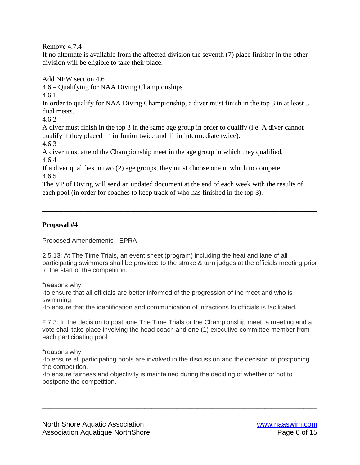Remove 4.7.4

If no alternate is available from the affected division the seventh (7) place finisher in the other division will be eligible to take their place.

Add NEW section 4.6

4.6 – Qualifying for NAA Diving Championships

4.6.1

In order to qualify for NAA Diving Championship, a diver must finish in the top 3 in at least 3 dual meets.

4.6.2

A diver must finish in the top 3 in the same age group in order to qualify (i.e. A diver cannot qualify if they placed  $1<sup>st</sup>$  in Junior twice and  $1<sup>st</sup>$  in intermediate twice).

4.6.3

A diver must attend the Championship meet in the age group in which they qualified. 4.6.4

If a diver qualifies in two (2) age groups, they must choose one in which to compete. 4.6.5

The VP of Diving will send an updated document at the end of each week with the results of each pool (in order for coaches to keep track of who has finished in the top 3).

**\_\_\_\_\_\_\_\_\_\_\_\_\_\_\_\_\_\_\_\_\_\_\_\_\_\_\_\_\_\_\_\_\_\_\_\_\_\_\_\_\_\_\_\_\_\_\_\_\_\_\_\_\_\_\_\_\_\_\_\_\_\_\_\_\_\_\_\_\_\_\_\_\_\_\_\_\_\_**

# **Proposal #4**

Proposed Amendements - EPRA

2.5.13: At The Time Trials, an event sheet (program) including the heat and lane of all participating swimmers shall be provided to the stroke & turn judges at the officials meeting prior to the start of the competition.

\*reasons why:

-to ensure that all officials are better informed of the progression of the meet and who is swimming.

-to ensure that the identification and communication of infractions to officials is facilitated.

2.7.3: In the decision to postpone The Time Trials or the Championship meet, a meeting and a vote shall take place involving the head coach and one (1) executive committee member from each participating pool.

\*reasons why:

-to ensure all participating pools are involved in the discussion and the decision of postponing the competition.

**\_\_\_\_\_\_\_\_\_\_\_\_\_\_\_\_\_\_\_\_\_\_\_\_\_\_\_\_\_\_\_\_\_\_\_\_\_\_\_\_\_\_\_\_\_\_\_\_\_\_\_\_\_\_\_\_\_\_\_\_\_\_\_\_\_\_\_\_\_\_\_\_\_\_\_\_\_\_**

-to ensure fairness and objectivity is maintained during the deciding of whether or not to postpone the competition.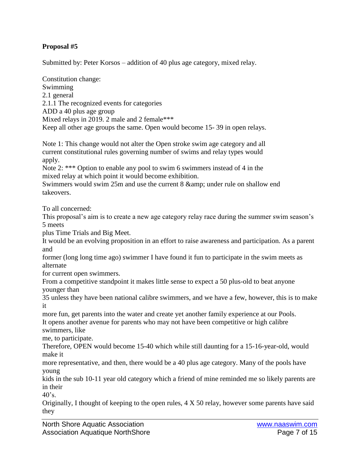# **Proposal #5**

Submitted by: Peter Korsos – addition of 40 plus age category, mixed relay.

Constitution change: Swimming 2.1 general 2.1.1 The recognized events for categories ADD a 40 plus age group Mixed relays in 2019. 2 male and 2 female\*\*\* Keep all other age groups the same. Open would become 15- 39 in open relays.

Note 1: This change would not alter the Open stroke swim age category and all current constitutional rules governing number of swims and relay types would apply.

Note 2: \*\*\* Option to enable any pool to swim 6 swimmers instead of 4 in the mixed relay at which point it would become exhibition.

Swimmers would swim 25m and use the current 8 & amp; under rule on shallow end takeovers.

To all concerned:

This proposal's aim is to create a new age category relay race during the summer swim season's 5 meets

plus Time Trials and Big Meet.

It would be an evolving proposition in an effort to raise awareness and participation. As a parent and

former (long long time ago) swimmer I have found it fun to participate in the swim meets as alternate

for current open swimmers.

From a competitive standpoint it makes little sense to expect a 50 plus-old to beat anyone younger than

35 unless they have been national calibre swimmers, and we have a few, however, this is to make it

more fun, get parents into the water and create yet another family experience at our Pools. It opens another avenue for parents who may not have been competitive or high calibre

swimmers, like me, to participate.

Therefore, OPEN would become 15-40 which while still daunting for a 15-16-year-old, would make it

more representative, and then, there would be a 40 plus age category. Many of the pools have young

kids in the sub 10-11 year old category which a friend of mine reminded me so likely parents are in their

 $40$ 's.

Originally, I thought of keeping to the open rules, 4 X 50 relay, however some parents have said they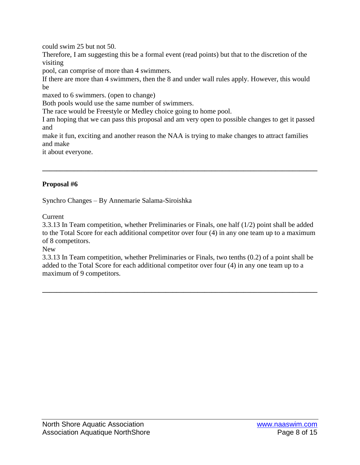could swim 25 but not 50.

Therefore, I am suggesting this be a formal event (read points) but that to the discretion of the visiting

pool, can comprise of more than 4 swimmers.

If there are more than 4 swimmers, then the 8 and under wall rules apply. However, this would be

maxed to 6 swimmers. (open to change)

Both pools would use the same number of swimmers.

The race would be Freestyle or Medley choice going to home pool.

I am hoping that we can pass this proposal and am very open to possible changes to get it passed and

make it fun, exciting and another reason the NAA is trying to make changes to attract families and make

**\_\_\_\_\_\_\_\_\_\_\_\_\_\_\_\_\_\_\_\_\_\_\_\_\_\_\_\_\_\_\_\_\_\_\_\_\_\_\_\_\_\_\_\_\_\_\_\_\_\_\_\_\_\_\_\_\_\_\_\_\_\_\_\_\_\_\_\_\_\_\_\_\_\_\_\_\_\_**

it about everyone.

# **Proposal #6**

Synchro Changes – By Annemarie Salama-Siroishka

**Current** 

3.3.13 In Team competition, whether Preliminaries or Finals, one half (1/2) point shall be added to the Total Score for each additional competitor over four (4) in any one team up to a maximum of 8 competitors.

New

3.3.13 In Team competition, whether Preliminaries or Finals, two tenths (0.2) of a point shall be added to the Total Score for each additional competitor over four (4) in any one team up to a maximum of 9 competitors.

**\_\_\_\_\_\_\_\_\_\_\_\_\_\_\_\_\_\_\_\_\_\_\_\_\_\_\_\_\_\_\_\_\_\_\_\_\_\_\_\_\_\_\_\_\_\_\_\_\_\_\_\_\_\_\_\_\_\_\_\_\_\_\_\_\_\_\_\_\_\_\_\_\_\_\_\_\_\_**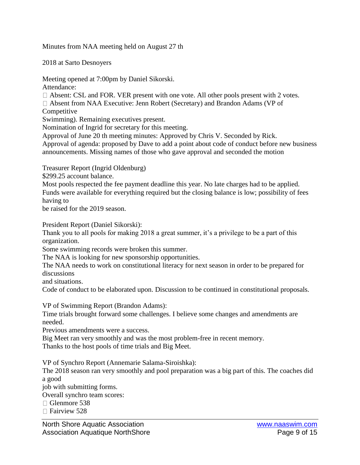Minutes from NAA meeting held on August 27 th

2018 at Sarto Desnoyers

Meeting opened at 7:00pm by Daniel Sikorski. Attendance:

 $\Box$  Absent: CSL and FOR. VER present with one vote. All other pools present with 2 votes.

Absent from NAA Executive: Jenn Robert (Secretary) and Brandon Adams (VP of Competitive

Swimming). Remaining executives present.

Nomination of Ingrid for secretary for this meeting.

Approval of June 20 th meeting minutes: Approved by Chris V. Seconded by Rick.

Approval of agenda: proposed by Dave to add a point about code of conduct before new business announcements. Missing names of those who gave approval and seconded the motion

Treasurer Report (Ingrid Oldenburg)

\$299.25 account balance.

Most pools respected the fee payment deadline this year. No late charges had to be applied. Funds were available for everything required but the closing balance is low; possibility of fees having to

be raised for the 2019 season.

President Report (Daniel Sikorski):

Thank you to all pools for making 2018 a great summer, it's a privilege to be a part of this organization.

Some swimming records were broken this summer.

The NAA is looking for new sponsorship opportunities.

The NAA needs to work on constitutional literacy for next season in order to be prepared for discussions

and situations.

Code of conduct to be elaborated upon. Discussion to be continued in constitutional proposals.

VP of Swimming Report (Brandon Adams):

Time trials brought forward some challenges. I believe some changes and amendments are needed.

Previous amendments were a success.

Big Meet ran very smoothly and was the most problem-free in recent memory. Thanks to the host pools of time trials and Big Meet.

VP of Synchro Report (Annemarie Salama-Siroishka):

The 2018 season ran very smoothly and pool preparation was a big part of this. The coaches did a good

job with submitting forms.

Overall synchro team scores:

□ Glenmore 538

 $\Box$  Fairview 528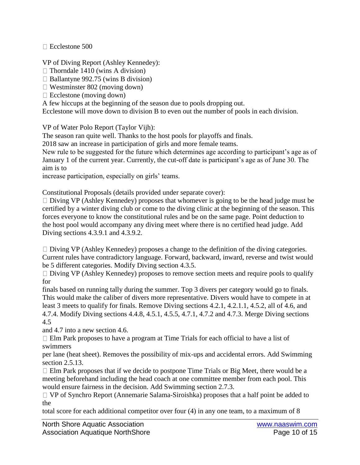$\Box$  Ecclestone 500

VP of Diving Report (Ashley Kennedey):

 $\Box$  Thorndale 1410 (wins A division)

 $\Box$  Ballantyne 992.75 (wins B division)

 $\Box$  Westminster 802 (moving down)

 $\Box$  Ecclestone (moving down)

A few hiccups at the beginning of the season due to pools dropping out.

Ecclestone will move down to division B to even out the number of pools in each division.

VP of Water Polo Report (Taylor Vijh):

The season ran quite well. Thanks to the host pools for playoffs and finals.

2018 saw an increase in participation of girls and more female teams.

New rule to be suggested for the future which determines age according to participant's age as of January 1 of the current year. Currently, the cut-off date is participant's age as of June 30. The aim is to

increase participation, especially on girls' teams.

Constitutional Proposals (details provided under separate cover):

 $\Box$  Diving VP (Ashley Kennedey) proposes that whomever is going to be the head judge must be certified by a winter diving club or come to the diving clinic at the beginning of the season. This forces everyone to know the constitutional rules and be on the same page. Point deduction to the host pool would accompany any diving meet where there is no certified head judge. Add Diving sections 4.3.9.1 and 4.3.9.2.

 $\Box$  Diving VP (Ashley Kennedey) proposes a change to the definition of the diving categories. Current rules have contradictory language. Forward, backward, inward, reverse and twist would be 5 different categories. Modify Diving section 4.3.5.

 $\Box$  Diving VP (Ashley Kennedey) proposes to remove section meets and require pools to qualify for

finals based on running tally during the summer. Top 3 divers per category would go to finals. This would make the caliber of divers more representative. Divers would have to compete in at least 3 meets to qualify for finals. Remove Diving sections 4.2.1, 4.2.1.1, 4.5.2, all of 4.6, and 4.7.4. Modify Diving sections 4.4.8, 4.5.1, 4.5.5, 4.7.1, 4.7.2 and 4.7.3. Merge Diving sections 4.5

and 4.7 into a new section 4.6.

Elm Park proposes to have a program at Time Trials for each official to have a list of swimmers

per lane (heat sheet). Removes the possibility of mix-ups and accidental errors. Add Swimming section 2.5.13.

 $\Box$  Elm Park proposes that if we decide to postpone Time Trials or Big Meet, there would be a meeting beforehand including the head coach at one committee member from each pool. This would ensure fairness in the decision. Add Swimming section 2.7.3.

VP of Synchro Report (Annemarie Salama-Siroishka) proposes that a half point be added to the

total score for each additional competitor over four (4) in any one team, to a maximum of 8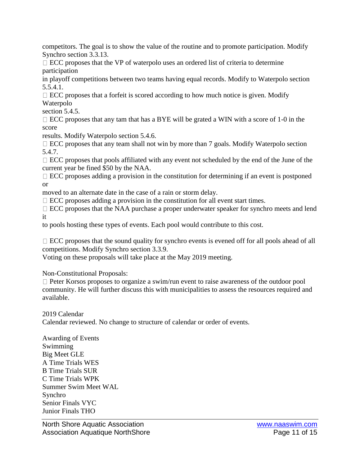competitors. The goal is to show the value of the routine and to promote participation. Modify Synchro section 3.3.13.

 $\Box$  ECC proposes that the VP of waterpolo uses an ordered list of criteria to determine participation

in playoff competitions between two teams having equal records. Modify to Waterpolo section 5.5.4.1.

 $\Box$  ECC proposes that a forfeit is scored according to how much notice is given. Modify Waterpolo

section 5.4.5.

 $\Box$  ECC proposes that any tam that has a BYE will be grated a WIN with a score of 1-0 in the score

results. Modify Waterpolo section 5.4.6.

 $\Box$  ECC proposes that any team shall not win by more than 7 goals. Modify Waterpolo section 5.4.7.

 $\Box$  ECC proposes that pools affiliated with any event not scheduled by the end of the June of the current year be fined \$50 by the NAA.

 $\Box$  ECC proposes adding a provision in the constitution for determining if an event is postponed or

moved to an alternate date in the case of a rain or storm delay.

 $\Box$  ECC proposes adding a provision in the constitution for all event start times.

 $\Box$  ECC proposes that the NAA purchase a proper underwater speaker for synchro meets and lend it

to pools hosting these types of events. Each pool would contribute to this cost.

 $\Box$  ECC proposes that the sound quality for synchro events is evened off for all pools ahead of all competitions. Modify Synchro section 3.3.9.

Voting on these proposals will take place at the May 2019 meeting.

Non-Constitutional Proposals:

 $\Box$  Peter Korsos proposes to organize a swim/run event to raise awareness of the outdoor pool community. He will further discuss this with municipalities to assess the resources required and available.

2019 Calendar

Calendar reviewed. No change to structure of calendar or order of events.

Awarding of Events Swimming Big Meet GLE A Time Trials WES B Time Trials SUR C Time Trials WPK Summer Swim Meet WAL Synchro Senior Finals VYC Junior Finals THO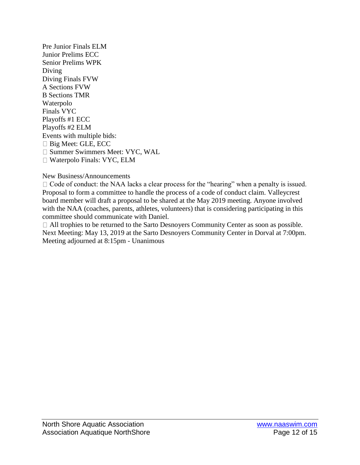Pre Junior Finals ELM Junior Prelims ECC Senior Prelims WPK Diving Diving Finals FVW A Sections FVW B Sections TMR Waterpolo Finals VYC Playoffs #1 ECC Playoffs #2 ELM Events with multiple bids: Big Meet: GLE, ECC □ Summer Swimmers Meet: VYC, WAL □ Waterpolo Finals: VYC, ELM

New Business/Announcements

□ Code of conduct: the NAA lacks a clear process for the "hearing" when a penalty is issued. Proposal to form a committee to handle the process of a code of conduct claim. Valleycrest board member will draft a proposal to be shared at the May 2019 meeting. Anyone involved with the NAA (coaches, parents, athletes, volunteers) that is considering participating in this committee should communicate with Daniel.

All trophies to be returned to the Sarto Desnoyers Community Center as soon as possible. Next Meeting: May 13, 2019 at the Sarto Desnoyers Community Center in Dorval at 7:00pm. Meeting adjourned at 8:15pm - Unanimous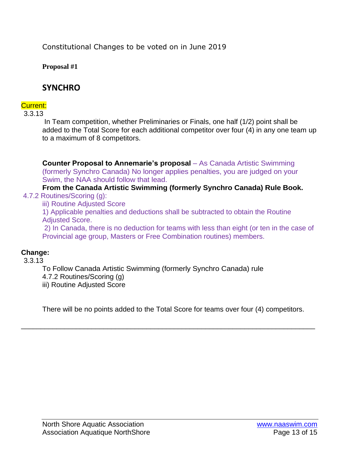Constitutional Changes to be voted on in June 2019

**Proposal #1**

# **SYNCHRO**

# Current:

3.3.13

In Team competition, whether Preliminaries or Finals, one half (1/2) point shall be added to the Total Score for each additional competitor over four (4) in any one team up to a maximum of 8 competitors.

**Counter Proposal to Annemarie's proposal** – As Canada Artistic Swimming (formerly Synchro Canada) No longer applies penalties, you are judged on your Swim, the NAA should follow that lead.

#### **From the Canada Artistic Swimming (formerly Synchro Canada) Rule Book.** 4.7.2 Routines/Scoring (g):

iii) Routine Adjusted Score

1) Applicable penalties and deductions shall be subtracted to obtain the Routine Adjusted Score.

2) In Canada, there is no deduction for teams with less than eight (or ten in the case of Provincial age group, Masters or Free Combination routines) members.

# **Change:**

# 3.3.13

To Follow Canada Artistic Swimming (formerly Synchro Canada) rule 4.7.2 Routines/Scoring (g)

iii) Routine Adjusted Score

There will be no points added to the Total Score for teams over four (4) competitors.

\_\_\_\_\_\_\_\_\_\_\_\_\_\_\_\_\_\_\_\_\_\_\_\_\_\_\_\_\_\_\_\_\_\_\_\_\_\_\_\_\_\_\_\_\_\_\_\_\_\_\_\_\_\_\_\_\_\_\_\_\_\_\_\_\_\_\_\_\_\_\_\_\_\_\_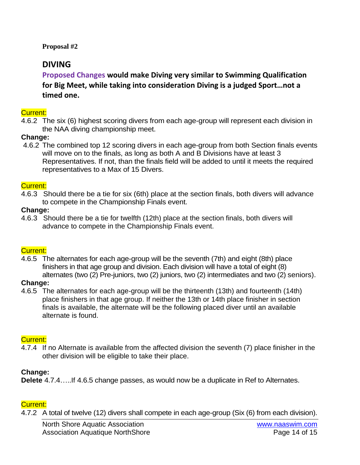**Proposal #2**

# **DIVING**

**Proposed Changes would make Diving very similar to Swimming Qualification for Big Meet, while taking into consideration Diving is a judged Sport…not a timed one.**

#### Current:

4.6.2 The six (6) highest scoring divers from each age-group will represent each division in the NAA diving championship meet.

## **Change:**

4.6.2 The combined top 12 scoring divers in each age-group from both Section finals events will move on to the finals, as long as both A and B Divisions have at least 3 Representatives. If not, than the finals field will be added to until it meets the required representatives to a Max of 15 Divers.

#### Current:

4.6.3 Should there be a tie for six (6th) place at the section finals, both divers will advance to compete in the Championship Finals event.

#### **Change:**

4.6.3 Should there be a tie for twelfth (12th) place at the section finals, both divers will advance to compete in the Championship Finals event.

# Current:

4.6.5 The alternates for each age-group will be the seventh (7th) and eight (8th) place finishers in that age group and division. Each division will have a total of eight (8) alternates (two (2) Pre-juniors, two (2) juniors, two (2) intermediates and two (2) seniors).

#### **Change:**

4.6.5 The alternates for each age-group will be the thirteenth (13th) and fourteenth (14th) place finishers in that age group. If neither the 13th or 14th place finisher in section finals is available, the alternate will be the following placed diver until an available alternate is found.

#### Current:

4.7.4 If no Alternate is available from the affected division the seventh (7) place finisher in the other division will be eligible to take their place.

# **Change:**

**Delete** 4.7.4…..If 4.6.5 change passes, as would now be a duplicate in Ref to Alternates.

# Current:

4.7.2 A total of twelve (12) divers shall compete in each age-group (Six (6) from each division).